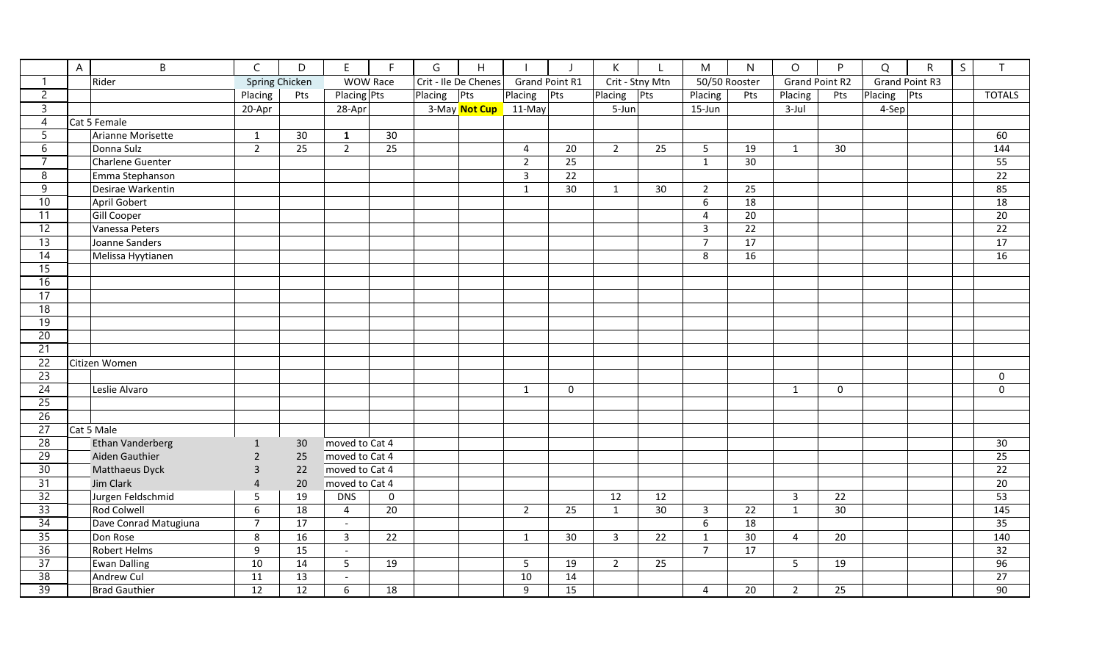|                 | $\mathsf{A}$ | B                       | $\mathsf C$    | D                                        | E.             | F           | G                    | Η             |                       |                 | К               |               | M                | $\mathsf{N}$          | $\circ$        | P         | $\Omega$              | ${\sf R}$ | S | T               |
|-----------------|--------------|-------------------------|----------------|------------------------------------------|----------------|-------------|----------------------|---------------|-----------------------|-----------------|-----------------|---------------|------------------|-----------------------|----------------|-----------|-----------------------|-----------|---|-----------------|
| -1              |              | Rider                   |                | <b>Spring Chicken</b><br><b>WOW Race</b> |                |             | Crit - Ile De Chenes | Placing       | <b>Grand Point R1</b> |                 | Crit - Stny Mtn | 50/50 Rooster |                  | <b>Grand Point R2</b> |                |           | <b>Grand Point R3</b> |           |   |                 |
| $\overline{c}$  |              |                         | Placing        | Pts                                      |                | Placing Pts |                      | Placing Pts   |                       | Pts             | Placing         | Pts           | Placing          | Pts                   | Placing        | Pts       | Placing               | Pts       |   | <b>TOTALS</b>   |
| $\overline{3}$  |              |                         | 20-Apr         |                                          | 28-Apr         |             |                      | 3-May Not Cup | 11-May                |                 | 5-Jun           |               | 15-Jun           |                       | 3-Jul          |           | 4-Sep                 |           |   |                 |
| $\overline{4}$  |              | Cat 5 Female            |                |                                          |                |             |                      |               |                       |                 |                 |               |                  |                       |                |           |                       |           |   |                 |
| 5               |              | Arianne Morisette       | $\mathbf{1}$   | 30                                       | $\mathbf{1}$   | 30          |                      |               |                       |                 |                 |               |                  |                       |                |           |                       |           |   | 60              |
| $\overline{6}$  |              | Donna Sulz              | $\overline{2}$ | 25                                       | $2^{\circ}$    | 25          |                      |               | 4                     | 20              | $2^{\circ}$     | 25            | 5                | 19                    | $\mathbf{1}$   | 30        |                       |           |   | 144             |
| 7               |              | <b>Charlene Guenter</b> |                |                                          |                |             |                      |               | $\overline{2}$        | 25              |                 |               | $\mathbf{1}$     | $\overline{30}$       |                |           |                       |           |   | 55              |
| 8               |              | Emma Stephanson         |                |                                          |                |             |                      |               | $\overline{3}$        | $\overline{22}$ |                 |               |                  |                       |                |           |                       |           |   | 22              |
| $\overline{9}$  |              | Desirae Warkentin       |                |                                          |                |             |                      |               | $\mathbf{1}$          | 30              | $\mathbf{1}$    | 30            | $\overline{2}$   | 25                    |                |           |                       |           |   | 85              |
| 10              |              | <b>April Gobert</b>     |                |                                          |                |             |                      |               |                       |                 |                 |               | $\boldsymbol{6}$ | $\overline{18}$       |                |           |                       |           |   | 18              |
| $\overline{11}$ |              | <b>Gill Cooper</b>      |                |                                          |                |             |                      |               |                       |                 |                 |               | $\overline{4}$   | $\overline{20}$       |                |           |                       |           |   | $\overline{20}$ |
| 12              |              | Vanessa Peters          |                |                                          |                |             |                      |               |                       |                 |                 |               | 3                | 22                    |                |           |                       |           |   | 22              |
| 13              |              | Joanne Sanders          |                |                                          |                |             |                      |               |                       |                 |                 |               | $\overline{7}$   | 17                    |                |           |                       |           |   | 17              |
| $\overline{14}$ |              | Melissa Hyytianen       |                |                                          |                |             |                      |               |                       |                 |                 |               | 8                | 16                    |                |           |                       |           |   | 16              |
| $\overline{15}$ |              |                         |                |                                          |                |             |                      |               |                       |                 |                 |               |                  |                       |                |           |                       |           |   |                 |
| 16              |              |                         |                |                                          |                |             |                      |               |                       |                 |                 |               |                  |                       |                |           |                       |           |   |                 |
| 17              |              |                         |                |                                          |                |             |                      |               |                       |                 |                 |               |                  |                       |                |           |                       |           |   |                 |
| 18              |              |                         |                |                                          |                |             |                      |               |                       |                 |                 |               |                  |                       |                |           |                       |           |   |                 |
| 19              |              |                         |                |                                          |                |             |                      |               |                       |                 |                 |               |                  |                       |                |           |                       |           |   |                 |
| 20              |              |                         |                |                                          |                |             |                      |               |                       |                 |                 |               |                  |                       |                |           |                       |           |   |                 |
| 21              |              |                         |                |                                          |                |             |                      |               |                       |                 |                 |               |                  |                       |                |           |                       |           |   |                 |
| 22              |              | Citizen Women           |                |                                          |                |             |                      |               |                       |                 |                 |               |                  |                       |                |           |                       |           |   |                 |
| 23              |              |                         |                |                                          |                |             |                      |               |                       |                 |                 |               |                  |                       |                |           |                       |           |   | 0               |
| 24              |              | Leslie Alvaro           |                |                                          |                |             |                      |               | $\mathbf{1}$          | $\mathbf 0$     |                 |               |                  |                       | $\mathbf{1}$   | $\pmb{0}$ |                       |           |   | $\pmb{0}$       |
| $\overline{25}$ |              |                         |                |                                          |                |             |                      |               |                       |                 |                 |               |                  |                       |                |           |                       |           |   |                 |
| 26              |              |                         |                |                                          |                |             |                      |               |                       |                 |                 |               |                  |                       |                |           |                       |           |   |                 |
| 27              |              | Cat 5 Male              |                |                                          |                |             |                      |               |                       |                 |                 |               |                  |                       |                |           |                       |           |   |                 |
| $\overline{28}$ |              | <b>Ethan Vanderberg</b> | $\mathbf{1}$   | 30                                       | moved to Cat 4 |             |                      |               |                       |                 |                 |               |                  |                       |                |           |                       |           |   | 30              |
| $\overline{29}$ |              | Aiden Gauthier          | $\overline{2}$ | 25                                       | moved to Cat 4 |             |                      |               |                       |                 |                 |               |                  |                       |                |           |                       |           |   | 25              |
| 30              |              | <b>Matthaeus Dyck</b>   | 3              | 22                                       | moved to Cat 4 |             |                      |               |                       |                 |                 |               |                  |                       |                |           |                       |           |   | 22              |
| 31              |              | Jim Clark               | 4              | 20                                       | moved to Cat 4 |             |                      |               |                       |                 |                 |               |                  |                       |                |           |                       |           |   | 20              |
| 32              |              | Jurgen Feldschmid       | 5              | 19                                       | <b>DNS</b>     | $\mathbf 0$ |                      |               |                       |                 | 12              | 12            |                  |                       | $\overline{3}$ | 22        |                       |           |   | 53              |
| 33              |              | <b>Rod Colwell</b>      | 6              | 18                                       | $\overline{4}$ | 20          |                      |               | $\overline{2}$        | 25              | $\mathbf{1}$    | 30            | $\overline{3}$   | 22                    | $\mathbf{1}$   | 30        |                       |           |   | 145             |
| 34              |              | Dave Conrad Matugiuna   | $\overline{7}$ | 17                                       | $\blacksquare$ |             |                      |               |                       |                 |                 |               | 6                | 18                    |                |           |                       |           |   | 35              |
| $\overline{35}$ |              | Don Rose                | 8              | 16                                       | 3              | 22          |                      |               | $\mathbf{1}$          | 30              | $\mathbf{3}$    | 22            | $\mathbf{1}$     | 30 <sub>o</sub>       | 4              | 20        |                       |           |   | 140             |
| 36              |              | <b>Robert Helms</b>     | 9              | 15                                       | $\sim$         |             |                      |               |                       |                 |                 |               | $\overline{7}$   | 17                    |                |           |                       |           |   | 32              |
| 37              |              | <b>Ewan Dalling</b>     | 10             | 14                                       | $5\phantom{.}$ | 19          |                      |               | 5                     | 19              | $\overline{2}$  | 25            |                  |                       | 5              | 19        |                       |           |   | 96              |
| 38              |              | Andrew Cul              | 11             | 13                                       | $\sim$         |             |                      |               | 10                    | 14              |                 |               |                  |                       |                |           |                       |           |   | 27              |
| 39              |              | <b>Brad Gauthier</b>    | 12             | 12                                       | 6              | 18          |                      |               | 9                     | 15              |                 |               | $\overline{4}$   | 20                    | $2^{\circ}$    | 25        |                       |           |   | 90              |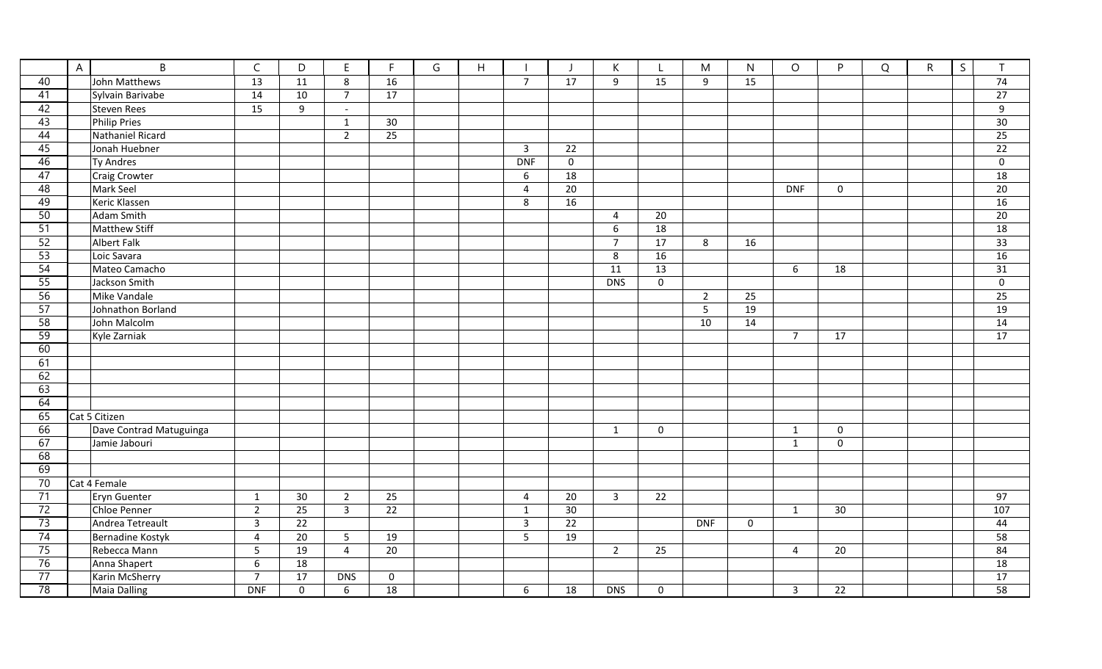|                 | $\overline{A}$ | $\sf B$                 | $\mathsf{C}$   | D                   | $\mathsf E$    | F           | G | $\boldsymbol{\mathsf{H}}$ |                | - 1         | К              | L           | M               | $\mathsf{N}$ | $\circ$        | P           | Q | $\mathsf{R}$ | $\mathsf{S}$ | $\mathsf{T}$    |
|-----------------|----------------|-------------------------|----------------|---------------------|----------------|-------------|---|---------------------------|----------------|-------------|----------------|-------------|-----------------|--------------|----------------|-------------|---|--------------|--------------|-----------------|
| 40              |                | John Matthews           | 13             | 11                  | 8              | 16          |   |                           | $\overline{7}$ | 17          | 9              | 15          | 9               | 15           |                |             |   |              |              | 74              |
| 41              |                | Sylvain Barivabe        | 14             | 10                  | $\overline{7}$ | 17          |   |                           |                |             |                |             |                 |              |                |             |   |              |              | 27              |
| 42              |                | Steven Rees             | 15             | 9                   | $\sim$         |             |   |                           |                |             |                |             |                 |              |                |             |   |              |              | 9               |
| 43              |                | <b>Philip Pries</b>     |                |                     | $\mathbf{1}$   | 30          |   |                           |                |             |                |             |                 |              |                |             |   |              |              | 30              |
| 44              |                | Nathaniel Ricard        |                |                     | $\overline{2}$ | 25          |   |                           |                |             |                |             |                 |              |                |             |   |              |              | 25              |
| 45              |                | Jonah Huebner           |                |                     |                |             |   |                           | $\mathbf{3}$   | 22          |                |             |                 |              |                |             |   |              |              | 22              |
| 46              |                | Ty Andres               |                |                     |                |             |   |                           | <b>DNF</b>     | $\mathbf 0$ |                |             |                 |              |                |             |   |              |              | $\mathbf 0$     |
| $\overline{47}$ |                | Craig Crowter           |                |                     |                |             |   |                           | 6              | 18          |                |             |                 |              |                |             |   |              |              | 18              |
| 48              |                | Mark Seel               |                |                     |                |             |   |                           | $\overline{4}$ | 20          |                |             |                 |              | <b>DNF</b>     | 0           |   |              |              | 20              |
| 49              |                | Keric Klassen           |                |                     |                |             |   |                           | $\bf 8$        | 16          |                |             |                 |              |                |             |   |              |              | 16              |
| 50              |                | Adam Smith              |                |                     |                |             |   |                           |                |             | 4              | 20          |                 |              |                |             |   |              |              | 20              |
| 51              |                | Matthew Stiff           |                |                     |                |             |   |                           |                |             | 6              | 18          |                 |              |                |             |   |              |              | 18              |
| 52              |                | Albert Falk             |                |                     |                |             |   |                           |                |             | $\overline{7}$ | 17          | 8               | 16           |                |             |   |              |              | 33              |
| $\overline{53}$ |                | Loic Savara             |                |                     |                |             |   |                           |                |             | 8              | 16          |                 |              |                |             |   |              |              | 16              |
| 54              |                | Mateo Camacho           |                |                     |                |             |   |                           |                |             | 11             | 13          |                 |              | 6              | 18          |   |              |              | 31              |
| 55              |                | Jackson Smith           |                |                     |                |             |   |                           |                |             | <b>DNS</b>     | $\mathsf 0$ |                 |              |                |             |   |              |              | $\mathsf 0$     |
| 56              |                | Mike Vandale            |                |                     |                |             |   |                           |                |             |                |             | $\overline{2}$  | 25           |                |             |   |              |              | 25              |
| 57              |                | Johnathon Borland       |                |                     |                |             |   |                           |                |             |                |             | $5\phantom{.0}$ | 19           |                |             |   |              |              | 19              |
| 58              |                | John Malcolm            |                |                     |                |             |   |                           |                |             |                |             | 10              | 14           |                |             |   |              |              | 14              |
| 59              |                | Kyle Zarniak            |                |                     |                |             |   |                           |                |             |                |             |                 |              | $\overline{7}$ | 17          |   |              |              | 17              |
| 60              |                |                         |                |                     |                |             |   |                           |                |             |                |             |                 |              |                |             |   |              |              |                 |
| 61              |                |                         |                |                     |                |             |   |                           |                |             |                |             |                 |              |                |             |   |              |              |                 |
| 62              |                |                         |                |                     |                |             |   |                           |                |             |                |             |                 |              |                |             |   |              |              |                 |
| 63              |                |                         |                |                     |                |             |   |                           |                |             |                |             |                 |              |                |             |   |              |              |                 |
| 64              |                |                         |                |                     |                |             |   |                           |                |             |                |             |                 |              |                |             |   |              |              |                 |
| 65              |                | Cat 5 Citizen           |                |                     |                |             |   |                           |                |             |                |             |                 |              |                |             |   |              |              |                 |
| 66              |                | Dave Contrad Matuguinga |                |                     |                |             |   |                           |                |             | $\mathbf{1}$   | $\mathbf 0$ |                 |              | $\mathbf{1}$   | $\mathsf 0$ |   |              |              |                 |
| 67              |                | Jamie Jabouri           |                |                     |                |             |   |                           |                |             |                |             |                 |              | $\mathbf{1}$   | $\mathbf 0$ |   |              |              |                 |
| 68              |                |                         |                |                     |                |             |   |                           |                |             |                |             |                 |              |                |             |   |              |              |                 |
| 69              |                |                         |                |                     |                |             |   |                           |                |             |                |             |                 |              |                |             |   |              |              |                 |
| 70              |                | Cat 4 Female            |                |                     |                |             |   |                           |                |             |                |             |                 |              |                |             |   |              |              |                 |
| 71              |                | Eryn Guenter            | $\mathbf{1}$   | 30 <sup>°</sup>     | $\overline{2}$ | 25          |   |                           | 4              | 20          | $\mathbf{3}$   | 22          |                 |              |                |             |   |              |              | 97              |
| 72              |                | Chloe Penner            | $\overline{2}$ | 25                  | $\overline{3}$ | 22          |   |                           | $\mathbf{1}$   | 30          |                |             |                 |              | $\mathbf{1}$   | 30          |   |              |              | 107             |
| 73              |                | Andrea Tetreault        | $\mathbf{3}$   | 22                  |                |             |   |                           | $\overline{3}$ | 22          |                |             | <b>DNF</b>      | 0            |                |             |   |              |              | 44              |
| 74              |                | Bernadine Kostyk        | 4              | 20                  | 5              | 19          |   |                           | 5              | 19          |                |             |                 |              |                |             |   |              |              | 58              |
| 75              |                | Rebecca Mann            | 5              | 19                  | $\overline{4}$ | 20          |   |                           |                |             | $\overline{2}$ | 25          |                 |              | 4              | 20          |   |              |              | 84              |
| 76              |                | Anna Shapert            | 6              | 18                  |                |             |   |                           |                |             |                |             |                 |              |                |             |   |              |              | 18              |
| $\overline{77}$ |                | Karin McSherry          | $\overline{7}$ | 17                  | <b>DNS</b>     | $\mathbf 0$ |   |                           |                |             |                |             |                 |              |                |             |   |              |              | $\overline{17}$ |
| $\overline{78}$ |                | <b>Maia Dalling</b>     | <b>DNF</b>     | $\mathsf{O}\xspace$ | 6              | 18          |   |                           | 6              | 18          | <b>DNS</b>     | $\Omega$    |                 |              | $\overline{3}$ | 22          |   |              |              | $\overline{58}$ |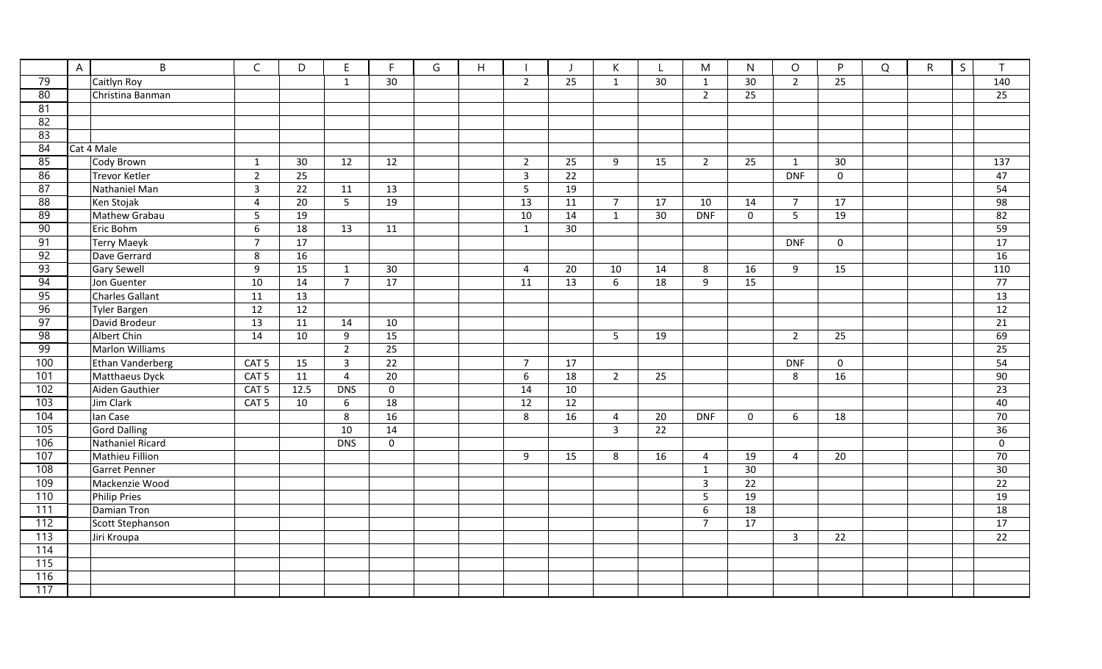|                  | $\overline{A}$ | $\mathsf B$      | $\mathsf{C}$     | D               | E              | $\mathsf{F}$ | G | H |                |                 | K.                      |    | M              | $\mathsf{N}$    | $\circ$        | P           | Q | $\mathsf{R}$ | S | $\mathsf{T}$        |
|------------------|----------------|------------------|------------------|-----------------|----------------|--------------|---|---|----------------|-----------------|-------------------------|----|----------------|-----------------|----------------|-------------|---|--------------|---|---------------------|
| 79               |                | Caitlyn Roy      |                  |                 | $\mathbf{1}$   | 30           |   |   | $\overline{2}$ | 25              | $\mathbf{1}$            | 30 | $\mathbf{1}$   | 30 <sup>°</sup> | $\overline{2}$ | 25          |   |              |   | 140                 |
| 80               |                | Christina Banman |                  |                 |                |              |   |   |                |                 |                         |    | $\overline{2}$ | 25              |                |             |   |              |   | 25                  |
| 81               |                |                  |                  |                 |                |              |   |   |                |                 |                         |    |                |                 |                |             |   |              |   |                     |
| 82               |                |                  |                  |                 |                |              |   |   |                |                 |                         |    |                |                 |                |             |   |              |   |                     |
| 83               |                |                  |                  |                 |                |              |   |   |                |                 |                         |    |                |                 |                |             |   |              |   |                     |
| 84               |                | Cat 4 Male       |                  |                 |                |              |   |   |                |                 |                         |    |                |                 |                |             |   |              |   |                     |
| 85               |                | Cody Brown       | $\mathbf{1}$     | 30              | 12             | 12           |   |   | $\overline{2}$ | 25              | 9                       | 15 | $\overline{2}$ | 25              | $\mathbf{1}$   | 30          |   |              |   | 137                 |
| 86               |                | Trevor Ketler    | $\overline{2}$   | $\overline{25}$ |                |              |   |   | $\overline{3}$ | $\overline{22}$ |                         |    |                |                 | <b>DNF</b>     | $\mathbf 0$ |   |              |   | 47                  |
| $\overline{87}$  |                | Nathaniel Man    | $\overline{3}$   | 22              | 11             | 13           |   |   | 5              | 19              |                         |    |                |                 |                |             |   |              |   | 54                  |
| 88               |                | Ken Stojak       | $\overline{4}$   | $\overline{20}$ | 5 <sup>5</sup> | 19           |   |   | 13             | 11              | $\overline{7}$          | 17 | 10             | 14              | $\overline{7}$ | 17          |   |              |   | 98                  |
| 89               |                | Mathew Grabau    | 5                | 19              |                |              |   |   | 10             | 14              | $\mathbf{1}$            | 30 | <b>DNF</b>     | $\mathbf 0$     | 5              | 19          |   |              |   | 82                  |
| 90               |                | Eric Bohm        | 6                | 18              | 13             | 11           |   |   | $\mathbf{1}$   | 30              |                         |    |                |                 |                |             |   |              |   | 59                  |
| 91               |                | Terry Maeyk      | $\overline{7}$   | 17              |                |              |   |   |                |                 |                         |    |                |                 | <b>DNF</b>     | $\mathbf 0$ |   |              |   | 17                  |
| $\overline{92}$  |                | Dave Gerrard     | 8                | 16              |                |              |   |   |                |                 |                         |    |                |                 |                |             |   |              |   | 16                  |
| 93               |                | Gary Sewell      | 9                | 15              | $\mathbf{1}$   | 30           |   |   | $\overline{4}$ | 20              | 10                      | 14 | 8              | 16              | 9              | 15          |   |              |   | 110                 |
| 94               |                | Jon Guenter      | 10               | 14              | $\overline{7}$ | 17           |   |   | 11             | 13              | 6                       | 18 | 9              | 15              |                |             |   |              |   | 77                  |
| $\overline{95}$  |                | Charles Gallant  | $\overline{11}$  | 13              |                |              |   |   |                |                 |                         |    |                |                 |                |             |   |              |   | 13                  |
| 96               |                | Tyler Bargen     | 12               | $\overline{12}$ |                |              |   |   |                |                 |                         |    |                |                 |                |             |   |              |   | $\overline{12}$     |
| 97               |                | David Brodeur    | 13               | 11              | 14             | 10           |   |   |                |                 |                         |    |                |                 |                |             |   |              |   | 21                  |
| 98               |                | Albert Chin      | 14               | 10              | 9              | 15           |   |   |                |                 | 5                       | 19 |                |                 | $\overline{2}$ | 25          |   |              |   | 69                  |
| 99               |                | Marlon Williams  |                  |                 | $\overline{2}$ | 25           |   |   |                |                 |                         |    |                |                 |                |             |   |              |   | 25                  |
| 100              |                | Ethan Vanderberg | CAT <sub>5</sub> | 15              | $\mathbf{3}$   | 22           |   |   | $\overline{7}$ | 17              |                         |    |                |                 | <b>DNF</b>     | $\mathbf 0$ |   |              |   | 54                  |
| 101              |                | Matthaeus Dyck   | CAT <sub>5</sub> | 11              | $\overline{4}$ | 20           |   |   | 6              | 18              | $2^{\circ}$             | 25 |                |                 | 8              | 16          |   |              |   | 90                  |
| 102              |                | Aiden Gauthier   | CAT <sub>5</sub> | 12.5            | <b>DNS</b>     | $\mathbf 0$  |   |   | 14             | 10              |                         |    |                |                 |                |             |   |              |   | 23                  |
| 103              |                | Jim Clark        | CAT <sub>5</sub> | 10              | 6              | 18           |   |   | 12             | 12              |                         |    |                |                 |                |             |   |              |   | 40                  |
| 104              |                | lan Case         |                  |                 | 8              | 16           |   |   | 8              | 16              | $\overline{4}$          | 20 | <b>DNF</b>     | $\mathbf 0$     | 6              | 18          |   |              |   | 70                  |
| 105              |                | Gord Dalling     |                  |                 | 10             | 14           |   |   |                |                 | $\overline{\mathbf{3}}$ | 22 |                |                 |                |             |   |              |   | 36                  |
| 106              |                | Nathaniel Ricard |                  |                 | <b>DNS</b>     | $\mathbf 0$  |   |   |                |                 |                         |    |                |                 |                |             |   |              |   | $\mathsf{O}\xspace$ |
| 107              |                | Mathieu Fillion  |                  |                 |                |              |   |   | 9              | 15              | 8                       | 16 | 4              | 19              | 4              | 20          |   |              |   | 70                  |
| 108              |                | Garret Penner    |                  |                 |                |              |   |   |                |                 |                         |    | $\mathbf{1}$   | 30              |                |             |   |              |   | 30                  |
| 109              |                | Mackenzie Wood   |                  |                 |                |              |   |   |                |                 |                         |    | $\overline{3}$ | $\overline{22}$ |                |             |   |              |   | $\overline{22}$     |
| 110              |                | Philip Pries     |                  |                 |                |              |   |   |                |                 |                         |    | 5              | 19              |                |             |   |              |   | 19                  |
| $\overline{111}$ |                | Damian Tron      |                  |                 |                |              |   |   |                |                 |                         |    | 6              | $\overline{18}$ |                |             |   |              |   | 18                  |
| 112              |                | Scott Stephanson |                  |                 |                |              |   |   |                |                 |                         |    | $\overline{7}$ | 17              |                |             |   |              |   | 17                  |
| 113              |                | Jiri Kroupa      |                  |                 |                |              |   |   |                |                 |                         |    |                |                 | $\overline{3}$ | 22          |   |              |   | 22                  |
| 114              |                |                  |                  |                 |                |              |   |   |                |                 |                         |    |                |                 |                |             |   |              |   |                     |
| 115              |                |                  |                  |                 |                |              |   |   |                |                 |                         |    |                |                 |                |             |   |              |   |                     |
| 116              |                |                  |                  |                 |                |              |   |   |                |                 |                         |    |                |                 |                |             |   |              |   |                     |
| 117              |                |                  |                  |                 |                |              |   |   |                |                 |                         |    |                |                 |                |             |   |              |   |                     |